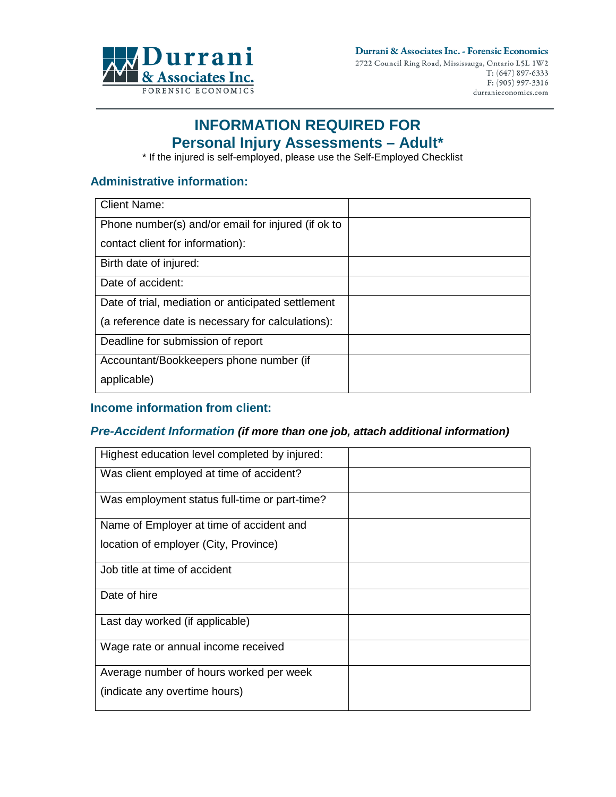

# **INFORMATION REQUIRED FOR Personal Injury Assessments – Adult\***

\* If the injured is self-employed, please use the Self-Employed Checklist

## **Administrative information:**

| <b>Client Name:</b>                                |  |
|----------------------------------------------------|--|
| Phone number(s) and/or email for injured (if ok to |  |
| contact client for information):                   |  |
| Birth date of injured:                             |  |
| Date of accident:                                  |  |
| Date of trial, mediation or anticipated settlement |  |
| (a reference date is necessary for calculations):  |  |
| Deadline for submission of report                  |  |
| Accountant/Bookkeepers phone number (if            |  |
| applicable)                                        |  |

### **Income information from client:**

#### *Pre-Accident Information (if more than one job, attach additional information)*

| Highest education level completed by injured: |  |
|-----------------------------------------------|--|
| Was client employed at time of accident?      |  |
| Was employment status full-time or part-time? |  |
| Name of Employer at time of accident and      |  |
| location of employer (City, Province)         |  |
| Job title at time of accident                 |  |
| Date of hire                                  |  |
| Last day worked (if applicable)               |  |
| Wage rate or annual income received           |  |
| Average number of hours worked per week       |  |
| (indicate any overtime hours)                 |  |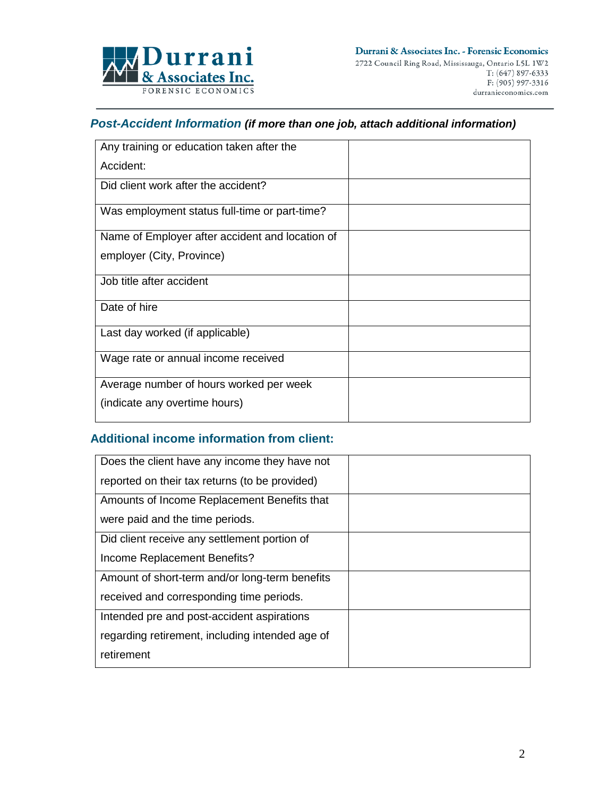

# *Post-Accident Information (if more than one job, attach additional information)*

| Any training or education taken after the       |  |
|-------------------------------------------------|--|
| Accident:                                       |  |
| Did client work after the accident?             |  |
| Was employment status full-time or part-time?   |  |
| Name of Employer after accident and location of |  |
| employer (City, Province)                       |  |
| Job title after accident                        |  |
| Date of hire                                    |  |
| Last day worked (if applicable)                 |  |
| Wage rate or annual income received             |  |
| Average number of hours worked per week         |  |
| (indicate any overtime hours)                   |  |

# **Additional income information from client:**

| Does the client have any income they have not   |  |
|-------------------------------------------------|--|
| reported on their tax returns (to be provided)  |  |
| Amounts of Income Replacement Benefits that     |  |
| were paid and the time periods.                 |  |
| Did client receive any settlement portion of    |  |
| Income Replacement Benefits?                    |  |
| Amount of short-term and/or long-term benefits  |  |
| received and corresponding time periods.        |  |
| Intended pre and post-accident aspirations      |  |
| regarding retirement, including intended age of |  |
| retirement                                      |  |